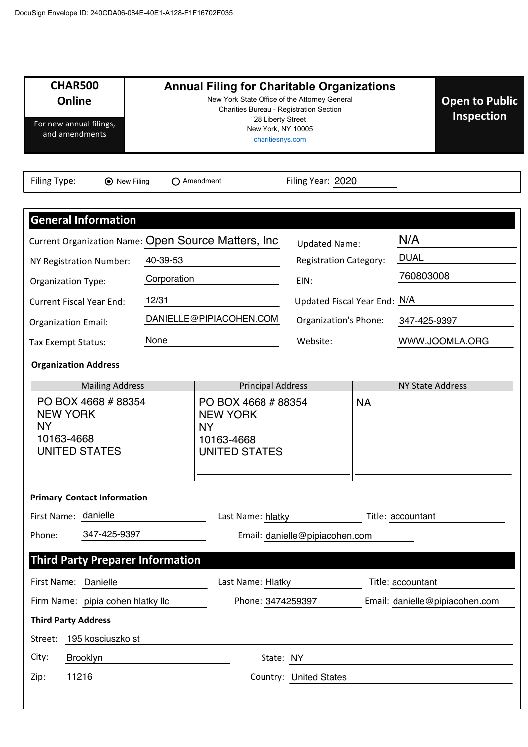| <b>CHAR500</b><br><b>Online</b><br>For new annual filings,<br>and amendments              | <b>Annual Filing for Charitable Organizations</b><br>New York State Office of the Attorney General<br>Charities Bureau - Registration Section<br>28 Liberty Street<br>New York, NY 10005<br>charitiesnys.com |                                                                                          |                                |                                |                         |
|-------------------------------------------------------------------------------------------|--------------------------------------------------------------------------------------------------------------------------------------------------------------------------------------------------------------|------------------------------------------------------------------------------------------|--------------------------------|--------------------------------|-------------------------|
| Filing Type:<br><b>⊙</b> New Filing                                                       |                                                                                                                                                                                                              | $\bigcap$ Amendment                                                                      | Filing Year: 2020              |                                |                         |
|                                                                                           |                                                                                                                                                                                                              |                                                                                          |                                |                                |                         |
| <b>General Information</b>                                                                |                                                                                                                                                                                                              |                                                                                          |                                |                                |                         |
| Current Organization Name: Open Source Matters, Inc                                       |                                                                                                                                                                                                              |                                                                                          | <b>Updated Name:</b>           |                                | N/A                     |
| NY Registration Number:                                                                   | 40-39-53                                                                                                                                                                                                     |                                                                                          | <b>Registration Category:</b>  |                                | <b>DUAL</b>             |
| Organization Type:                                                                        | Corporation                                                                                                                                                                                                  |                                                                                          | EIN:                           |                                | 760803008               |
| <b>Current Fiscal Year End:</b>                                                           | 12/31                                                                                                                                                                                                        |                                                                                          | Updated Fiscal Year End: N/A   |                                |                         |
| <b>Organization Email:</b>                                                                |                                                                                                                                                                                                              | DANIELLE@PIPIACOHEN.COM                                                                  | Organization's Phone:          |                                | 347-425-9397            |
| None<br>Tax Exempt Status:                                                                |                                                                                                                                                                                                              |                                                                                          | Website:                       |                                | WWW.JOOMLA.ORG          |
| <b>Organization Address</b>                                                               |                                                                                                                                                                                                              |                                                                                          |                                |                                |                         |
| <b>Mailing Address</b>                                                                    |                                                                                                                                                                                                              | <b>Principal Address</b>                                                                 |                                |                                | <b>NY State Address</b> |
| PO BOX 4668 # 88354<br><b>NEW YORK</b><br><b>NY</b><br>10163-4668<br><b>UNITED STATES</b> |                                                                                                                                                                                                              | PO BOX 4668 #88354<br><b>NEW YORK</b><br><b>NY</b><br>10163-4668<br><b>UNITED STATES</b> |                                | <b>NA</b>                      |                         |
|                                                                                           |                                                                                                                                                                                                              |                                                                                          |                                |                                |                         |
| <b>Primary Contact Information</b>                                                        |                                                                                                                                                                                                              |                                                                                          |                                |                                |                         |
| First Name: danielle                                                                      |                                                                                                                                                                                                              | Last Name: hlatky                                                                        |                                |                                | Title: accountant       |
| 347-425-9397<br>Phone:                                                                    |                                                                                                                                                                                                              |                                                                                          | Email: danielle@pipiacohen.com |                                |                         |
| <b>Third Party Preparer Information</b>                                                   |                                                                                                                                                                                                              |                                                                                          |                                |                                |                         |
| First Name: Danielle                                                                      |                                                                                                                                                                                                              | Last Name: Hlatky                                                                        |                                | Title: accountant              |                         |
| Firm Name: pipia cohen hlatky llc                                                         |                                                                                                                                                                                                              | Phone: 3474259397                                                                        |                                | Email: danielle@pipiacohen.com |                         |
| <b>Third Party Address</b>                                                                |                                                                                                                                                                                                              |                                                                                          |                                |                                |                         |
| 195 kosciuszko st<br>Street:                                                              |                                                                                                                                                                                                              |                                                                                          |                                |                                |                         |
| City:<br>Brooklyn                                                                         |                                                                                                                                                                                                              | State: NY                                                                                |                                |                                |                         |
| 11216<br>Zip:                                                                             |                                                                                                                                                                                                              |                                                                                          | <b>Country: United States</b>  |                                |                         |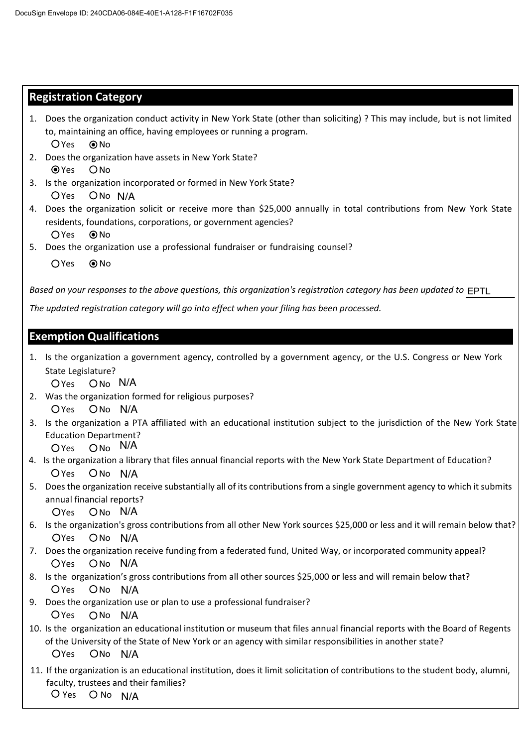# **Registration Category**

- 1. Does the organization conduct activity in New York State (other than soliciting) ? This may include, but is not limited to, maintaining an office, having employees or running a program.  $OYes$   $ONO$
- 2. Does the organization have assets in New York State?  $QYes$   $ONo$
- Yes ONo N/A 3. Is the organization incorporated or formed in New York State?
- ϰ. Does the organization solicit or receive more than \$25,000 annually in total contributions from New York State residents, foundations, corporations, or government agencies?  $OYes$   $QNo$
- 5. Does the organization use a professional fundraiser or fundraising counsel?
	- $OYes$   $\odot$  No

*Based on your responses to the above questions, this organization's registration category has been updated to*  EPTL

The updated registration category will go into effect when your filing has been processed.

# **Exemption Qualifications**

1. Is the organization a government agency, controlled by a government agency, or the U.S. Congress or New York State Legislature?

Yes Ono N/A

- 2. Was the organization formed for religious purposes? Yes ONo N/A
- 3. Is the organization a PTA affiliated with an educational institution subject to the jurisdiction of the New York State Education Department?
	- Yes Ono N/A
- Yes ONo N/A 4. Is the organization a library that files annual financial reports with the New York State Department of Education?
- 5. Does the organization receive substantially all of its contributions from a single government agency to which it submits annual financial reports?

Yes Ono N/A

- 6. Is the organization's gross contributions from all other New York sources \$25,000 or less and it will remain below that? Yes ONo N/A
- 7. Does the organization receive funding from a federated fund, United Way, or incorporated community appeal? Yes Ono N/A
- 8. Is the organization's gross contributions from all other sources \$25,000 or less and will remain below that? Yes ONo N/A
- 9. Does the organization use or plan to use a professional fundraiser? Yes ONo N/A
- $O$ Yes  $\blacksquare$ 10. Is the organization an educational institution or museum that files annual financial reports with the Board of Regents of the University of the State of New York or an agency with similar responsibilities in another state? ON<sub>o</sub> N/A
- 11. If the organization is an educational institution, does it limit solicitation of contributions to the student body, alumni, faculty, trustees and their families?

Yes Onon /A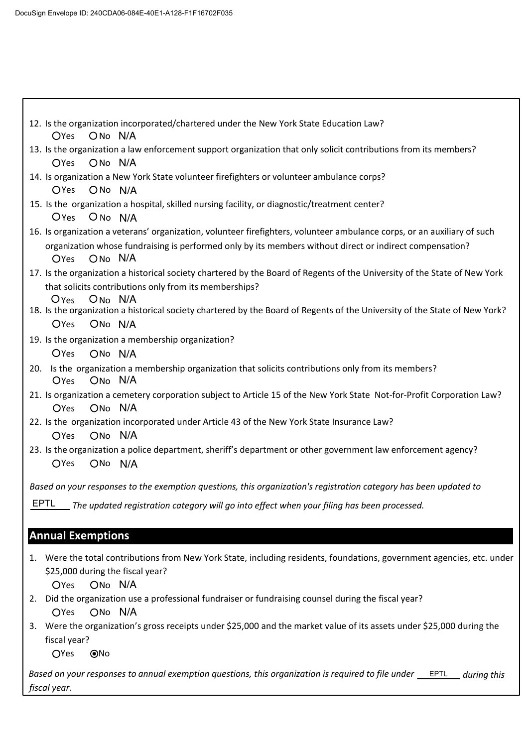| 12. Is the organization incorporated/chartered under the New York State Education Law?<br>OYes ONo N/A                                                                                        |
|-----------------------------------------------------------------------------------------------------------------------------------------------------------------------------------------------|
| 13. Is the organization a law enforcement support organization that only solicit contributions from its members?                                                                              |
| ON <sub>o</sub> N/A<br><b>O</b> Yes                                                                                                                                                           |
| 14. Is organization a New York State volunteer firefighters or volunteer ambulance corps?<br>OYes ON <sub>o</sub> N/A                                                                         |
| 15. Is the organization a hospital, skilled nursing facility, or diagnostic/treatment center?                                                                                                 |
| Oyes ONo N/A                                                                                                                                                                                  |
| 16. Is organization a veterans' organization, volunteer firefighters, volunteer ambulance corps, or an auxiliary of such                                                                      |
| organization whose fundraising is performed only by its members without direct or indirect compensation?<br>OYes ONo N/A                                                                      |
| 17. Is the organization a historical society chartered by the Board of Regents of the University of the State of New York<br>that solicits contributions only from its memberships?           |
| Oyes ON <sub>o</sub> N/A<br>18. Is the organization a historical society chartered by the Board of Regents of the University of the State of New York?<br><b>O</b> Yes<br>ON <sub>o</sub> N/A |
| 19. Is the organization a membership organization?<br>$O$ Yes<br>ONo N/A                                                                                                                      |
| 20. Is the organization a membership organization that solicits contributions only from its members?<br>ON <sub>o</sub> N/A<br>$O$ Yes                                                        |
| 21. Is organization a cemetery corporation subject to Article 15 of the New York State Not-for-Profit Corporation Law?<br>ON <sub>o</sub> N/A<br><b>OYes</b>                                  |
| 22. Is the organization incorporated under Article 43 of the New York State Insurance Law?<br>ONo N/A<br><b>OYes</b>                                                                          |
| 23. Is the organization a police department, sheriff's department or other government law enforcement agency?<br><b>OYes</b><br>ONo N/A                                                       |
| Based on your responses to the exemption questions, this organization's registration category has been updated to                                                                             |
| <b>EPTL</b><br>The updated registration category will go into effect when your filing has been processed.                                                                                     |
| <b>Annual Exemptions</b>                                                                                                                                                                      |
| Were the total contributions from New York State, including residents, foundations, government agencies, etc. under<br>1.                                                                     |
| \$25,000 during the fiscal year?                                                                                                                                                              |
| ONo N/A<br><b>OYes</b>                                                                                                                                                                        |
| Did the organization use a professional fundraiser or fundraising counsel during the fiscal year?<br>2.                                                                                       |
|                                                                                                                                                                                               |

Yes ONo N/A

3. Were the organization's gross receipts under \$25,000 and the market value of its assets under \$25,000 during the fiscal year?

OYes ONo

 *during this Based on your responses to annual exemption questions, this organization is required to file under* EPTL fiscal year.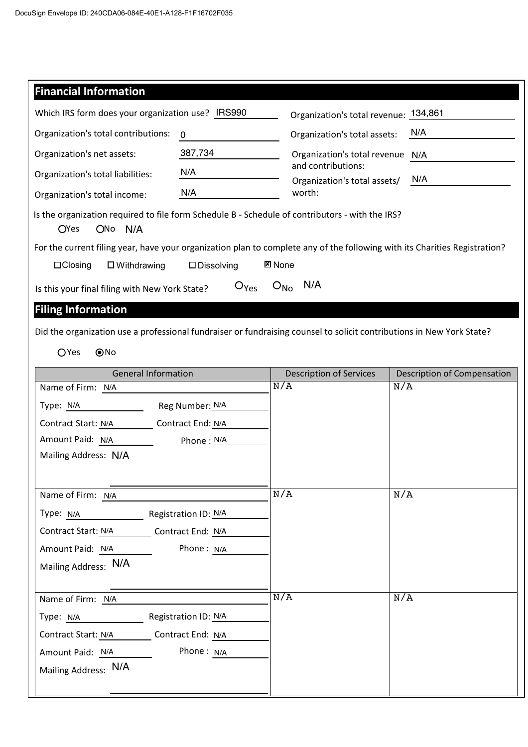| <b>Financial Information</b>                                                                                                           |                                       |                                                                                               |                                    |  |  |  |
|----------------------------------------------------------------------------------------------------------------------------------------|---------------------------------------|-----------------------------------------------------------------------------------------------|------------------------------------|--|--|--|
| Which IRS form does your organization use? IRS990                                                                                      |                                       | Organization's total revenue: 134,861                                                         |                                    |  |  |  |
| Organization's total contributions:                                                                                                    | 0                                     | N/A<br>Organization's total assets:                                                           |                                    |  |  |  |
| 387,734<br>Organization's net assets:                                                                                                  |                                       | Organization's total revenue N/A<br>and contributions:<br>N/A<br>Organization's total assets/ |                                    |  |  |  |
| N/A<br>Organization's total liabilities:                                                                                               |                                       |                                                                                               |                                    |  |  |  |
| Organization's total income:                                                                                                           | N/A                                   | worth:                                                                                        |                                    |  |  |  |
| Is the organization required to file form Schedule B - Schedule of contributors - with the IRS?<br><b>O</b> Yes<br>ON <sub>o</sub> N/A |                                       |                                                                                               |                                    |  |  |  |
| For the current filing year, have your organization plan to complete any of the following with its Charities Registration?             |                                       |                                                                                               |                                    |  |  |  |
| $\Box$ Closing<br>$\square$ Withdrawing                                                                                                | <b>図 None</b><br>$\square$ Dissolving |                                                                                               |                                    |  |  |  |
| Is this your final filing with New York State?                                                                                         | $O_{Yes}$                             | N/A<br>$O_{NQ}$                                                                               |                                    |  |  |  |
| <b>Filing Information</b>                                                                                                              |                                       |                                                                                               |                                    |  |  |  |
| Did the organization use a professional fundraiser or fundraising counsel to solicit contributions in New York State?                  |                                       |                                                                                               |                                    |  |  |  |
| OYes<br>@No                                                                                                                            |                                       |                                                                                               |                                    |  |  |  |
|                                                                                                                                        |                                       |                                                                                               |                                    |  |  |  |
| <b>General Information</b>                                                                                                             |                                       | <b>Description of Services</b><br>N/A                                                         | Description of Compensation<br>N/A |  |  |  |
| Name of Firm: N/A                                                                                                                      |                                       |                                                                                               |                                    |  |  |  |
| Reg Number: N/A<br>Type: N/A                                                                                                           |                                       |                                                                                               |                                    |  |  |  |
| Contract Start: N/A<br>Amount Paid: N/A                                                                                                | Contract End: N/A                     |                                                                                               |                                    |  |  |  |
| Mailing Address: N/A                                                                                                                   | Phone: N/A                            |                                                                                               |                                    |  |  |  |
|                                                                                                                                        |                                       |                                                                                               |                                    |  |  |  |
|                                                                                                                                        |                                       | N/A                                                                                           | N/A                                |  |  |  |
| Name of Firm: N/A                                                                                                                      |                                       |                                                                                               |                                    |  |  |  |
| Туре: N/A                                                                                                                              | Registration ID: N/A                  |                                                                                               |                                    |  |  |  |
| Contract Start: N/A<br>Contract End: N/A                                                                                               |                                       |                                                                                               |                                    |  |  |  |
| Amount Paid: N/A                                                                                                                       | Phone: N/A                            |                                                                                               |                                    |  |  |  |
| Mailing Address: N/A                                                                                                                   |                                       |                                                                                               |                                    |  |  |  |
| Name of Firm: N/A                                                                                                                      |                                       | N/A                                                                                           | N/A                                |  |  |  |
| Type: N/A                                                                                                                              | Registration ID: N/A                  |                                                                                               |                                    |  |  |  |
| Contract Start: N/A                                                                                                                    | Contract End: N/A                     |                                                                                               |                                    |  |  |  |
| Amount Paid: N/A                                                                                                                       | Phone: N/A                            |                                                                                               |                                    |  |  |  |
| Mailing Address: N/A                                                                                                                   |                                       |                                                                                               |                                    |  |  |  |
|                                                                                                                                        |                                       |                                                                                               |                                    |  |  |  |